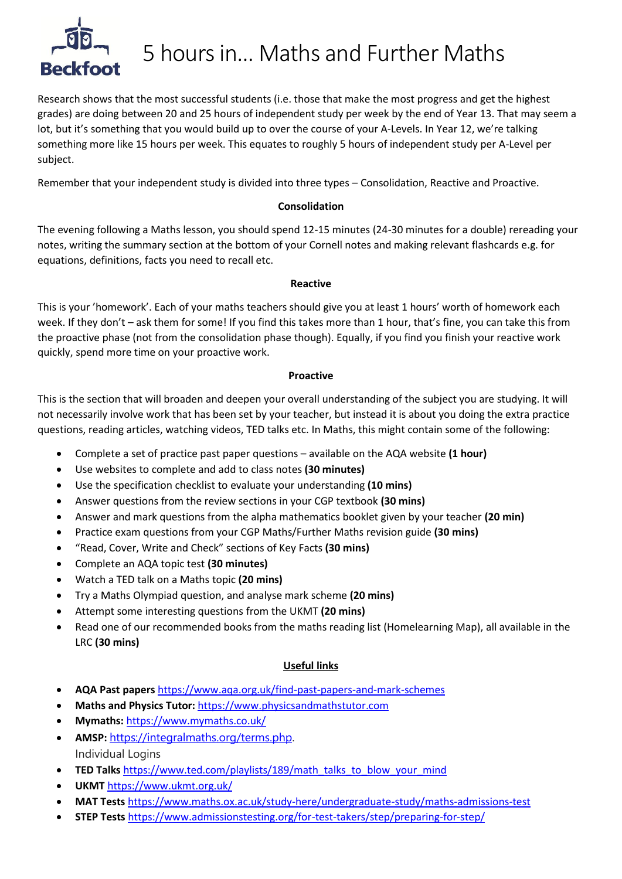

## $F^{\text{4D}}$  5 hours in... Maths and Further Maths

Research shows that the most successful students (i.e. those that make the most progress and get the highest grades) are doing between 20 and 25 hours of independent study per week by the end of Year 13. That may seem a lot, but it's something that you would build up to over the course of your A-Levels. In Year 12, we're talking something more like 15 hours per week. This equates to roughly 5 hours of independent study per A-Level per subject.

Remember that your independent study is divided into three types – Consolidation, Reactive and Proactive.

#### **Consolidation**

The evening following a Maths lesson, you should spend 12-15 minutes (24-30 minutes for a double) rereading your notes, writing the summary section at the bottom of your Cornell notes and making relevant flashcards e.g. for equations, definitions, facts you need to recall etc.

#### **Reactive**

This is your 'homework'. Each of your maths teachers should give you at least 1 hours' worth of homework each week. If they don't – ask them for some! If you find this takes more than 1 hour, that's fine, you can take this from the proactive phase (not from the consolidation phase though). Equally, if you find you finish your reactive work quickly, spend more time on your proactive work.

#### **Proactive**

This is the section that will broaden and deepen your overall understanding of the subject you are studying. It will not necessarily involve work that has been set by your teacher, but instead it is about you doing the extra practice questions, reading articles, watching videos, TED talks etc. In Maths, this might contain some of the following:

- Complete a set of practice past paper questions available on the AQA website **(1 hour)**
- Use websites to complete and add to class notes **(30 minutes)**
- Use the specification checklist to evaluate your understanding **(10 mins)**
- Answer questions from the review sections in your CGP textbook **(30 mins)**
- Answer and mark questions from the alpha mathematics booklet given by your teacher **(20 min)**
- Practice exam questions from your CGP Maths/Further Maths revision guide **(30 mins)**
- "Read, Cover, Write and Check" sections of Key Facts **(30 mins)**
- Complete an AQA topic test **(30 minutes)**
- Watch a TED talk on a Maths topic **(20 mins)**
- Try a Maths Olympiad question, and analyse mark scheme **(20 mins)**
- Attempt some interesting questions from the UKMT **(20 mins)**
- Read one of our recommended books from the maths reading list (Homelearning Map), all available in the LRC **(30 mins)**

#### **Useful links**

- **AQA Past papers** <https://www.aqa.org.uk/find-past-papers-and-mark-schemes>
- **Maths and Physics Tutor:** [https://www.physicsandmathstutor.com](https://www.physicsandmathstutor.com/)
- **Mymaths:** <https://www.mymaths.co.uk/>
- **AMSP:** [https://integralmaths.org/terms.php.](https://integralmaths.org/terms.php) Individual Logins
- **TED Talks** [https://www.ted.com/playlists/189/math\\_talks\\_to\\_blow\\_your\\_mind](https://www.ted.com/playlists/189/math_talks_to_blow_your_mind)
- **UKMT** <https://www.ukmt.org.uk/>
- **MAT Tests** <https://www.maths.ox.ac.uk/study-here/undergraduate-study/maths-admissions-test>
- **STEP Tests** <https://www.admissionstesting.org/for-test-takers/step/preparing-for-step/>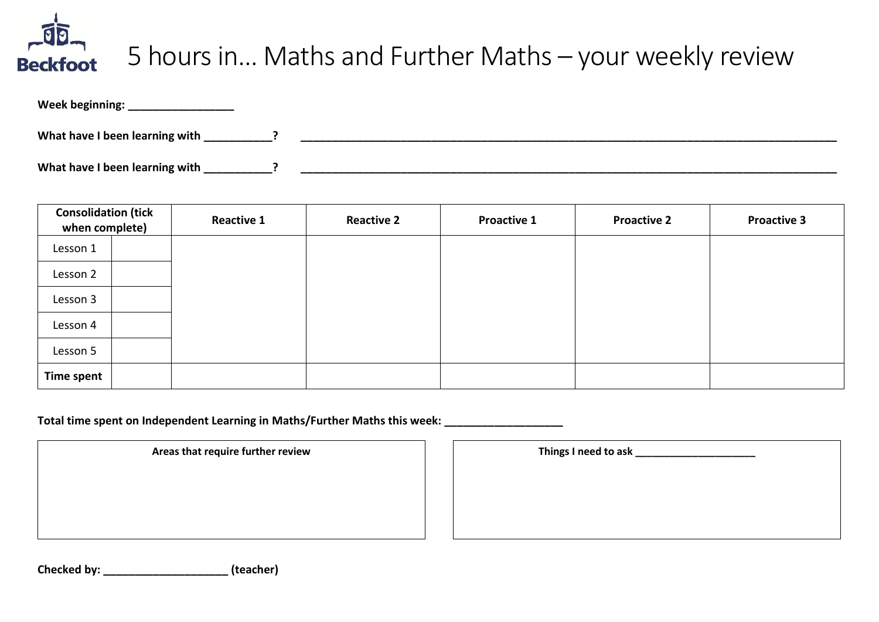# Beckfoot 5 hours in... Maths and Further Maths – your weekly review

| Week beginning:                |  |
|--------------------------------|--|
| What have I been learning with |  |
| What have I been learning with |  |

| <b>Consolidation (tick</b><br>when complete) | <b>Reactive 1</b> | <b>Reactive 2</b> | <b>Proactive 1</b> | <b>Proactive 2</b> | <b>Proactive 3</b> |
|----------------------------------------------|-------------------|-------------------|--------------------|--------------------|--------------------|
| Lesson 1                                     |                   |                   |                    |                    |                    |
| Lesson 2                                     |                   |                   |                    |                    |                    |
| Lesson 3                                     |                   |                   |                    |                    |                    |
| Lesson 4                                     |                   |                   |                    |                    |                    |
| Lesson 5                                     |                   |                   |                    |                    |                    |
| Time spent                                   |                   |                   |                    |                    |                    |

**Total time spent on Independent Learning in Maths/Further Maths this week: \_\_\_\_\_\_\_\_\_\_\_\_\_\_\_\_\_\_\_**

**Areas that require further review** 

| Things I need to ask |  |
|----------------------|--|
|                      |  |
|                      |  |
|                      |  |
|                      |  |

**Checked by: \_\_\_\_\_\_\_\_\_\_\_\_\_\_\_\_\_\_\_\_ (teacher)**